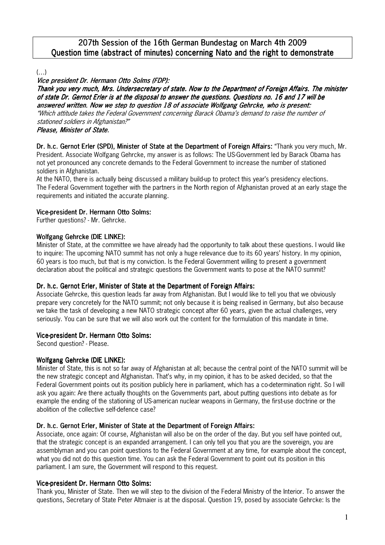# 207th Session of the 16th German Bundestag on March 4th 2009 Question time (abstract of minutes) concerning Nato and the right to demonstrate

 $($ ... $)$ 

# Vice president Dr. Hermann Otto Solms (FDP):

Thank you very much, Mrs. Undersecretary of state. Now to the Department of Foreign Affairs. The minister of state Dr. Gernot Erler is at the disposal to answer the questions. Questions no. 16 and 17 will be answered written. Now we step to question 18 of associate Wolfgang Gehrcke, who is present:

"Which attitude takes the Federal Government concerning Barack Obama's demand to raise the number of stationed soldiers in Afghanistan?"

# Please, Minister of State.

Dr. h.c. Gernot Erler (SPD), Minister of State at the Department of Foreign Affairs: "Thank you very much, Mr. President. Associate Wolfgang Gehrcke, my answer is as follows: The US-Government led by Barack Obama has not yet pronounced any concrete demands to the Federal Government to increase the number of stationed soldiers in Afghanistan.

At the NATO, there is actually being discussed a military build-up to protect this year's presidency elections. The Federal Government together with the partners in the North region of Afghanistan proved at an early stage the requirements and initiated the accurate planning.

# Vice-president Dr. Hermann Otto Solms:

Further questions? - Mr. Gehrcke.

# Wolfgang Gehrcke (DIE LINKE):

Minister of State, at the committee we have already had the opportunity to talk about these questions. I would like to inquire: The upcoming NATO summit has not only a huge relevance due to its 60 years' history. In my opinion, 60 years is too much, but that is my conviction. Is the Federal Government willing to present a government declaration about the political and strategic questions the Government wants to pose at the NATO summit?

### Dr. h.c. Gernot Erler, Minister of State at the Department of Foreign Affairs:

Associate Gehrcke, this question leads far away from Afghanistan. But I would like to tell you that we obviously prepare very concretely for the NATO summit; not only because it is being realised in Germany, but also because we take the task of developing a new NATO strategic concept after 60 years, given the actual challenges, very seriously. You can be sure that we will also work out the content for the formulation of this mandate in time.

### Vice-president Dr. Hermann Otto Solms:

Second question? - Please.

# Wolfgang Gehrcke (DIE LINKE):

Minister of State, this is not so far away of Afghanistan at all; because the central point of the NATO summit will be the new strategic concept and Afghanistan. That's why, in my opinion, it has to be asked decided, so that the Federal Government points out its position publicly here in parliament, which has a co-determination right. So I will ask you again: Are there actually thoughts on the Governments part, about putting questions into debate as for example the ending of the stationing of US-american nuclear weapons in Germany, the first-use doctrine or the abolition of the collective self-defence case?

# Dr. h.c. Gernot Erler, Minister of State at the Department of Foreign Affairs:

Associate, once again: Of course, Afghanistan will also be on the order of the day. But you self have pointed out, that the strategic concept is an expanded arrangement. I can only tell you that you are the sovereign, you are assemblyman and you can point questions to the Federal Government at any time, for example about the concept, what you did not do this question time. You can ask the Federal Government to point out its position in this parliament. I am sure, the Government will respond to this request.

# Vice-president Dr. Hermann Otto Solms:

Thank you, Minister of State. Then we will step to the division of the Federal Ministry of the Interior. To answer the questions, Secretary of State Peter Altmaier is at the disposal. Question 19, posed by associate Gehrcke: Is the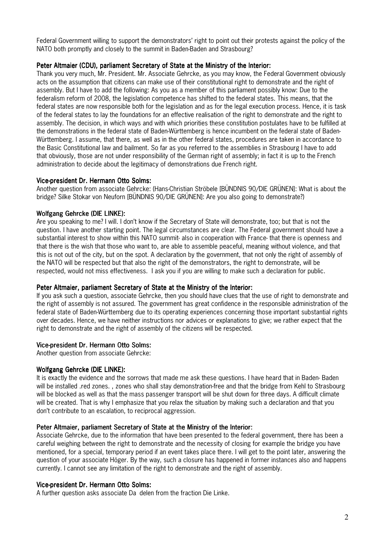Federal Government willing to support the demonstrators' right to point out their protests against the policy of the NATO both promptly and closely to the summit in Baden-Baden and Strasbourg?

#### Peter Altmaier (CDU), parliament Secretary of State at the Ministry of the Interior:

Thank you very much, Mr. President. Mr. Associate Gehrcke, as you may know, the Federal Government obviously acts on the assumption that citizens can make use of their constitutional right to demonstrate and the right of assembly. But I have to add the following: As you as a member of this parliament possibly know: Due to the federalism reform of 2008, the legislation competence has shifted to the federal states. This means, that the federal states are now responsible both for the legislation and as for the legal execution process. Hence, it is task of the federal states to lay the foundations for an effective realisation of the right to demonstrate and the right to assembly. The decision, in which ways and with which priorities these constitution postulates have to be fulfilled at the demonstrations in the federal state of Baden-Württemberg is hence incumbent on the federal state of Baden-Württemberg. I assume, that there, as well as in the other federal states, procedures are taken in accordance to the Basic Constitutional law and bailment. So far as you referred to the assemblies in Strasbourg I have to add that obviously, those are not under responsibility of the German right of assembly; in fact it is up to the French administration to decide about the legitimacy of demonstrations due French right.

#### Vice-president Dr. Hermann Otto Solms:

Another question from associate Gehrcke: (Hans-Christian Ströbele [BÜNDNIS 90/DIE GRÜNEN]: What is about the bridge? Silke Stokar von Neuforn [BÜNDNIS 90/DIE GRÜNEN]: Are you also going to demonstrate?)

### Wolfgang Gehrcke (DIE LINKE):

Are you speaking to me? I will. I don't know if the Secretary of State will demonstrate, too; but that is not the question. I have another starting point. The legal circumstances are clear. The Federal government should have a substantial interest to show within this NATO summit- also in cooperation with France- that there is openness and that there is the wish that those who want to, are able to assemble peaceful, meaning without violence, and that this is not out of the city, but on the spot. A declaration by the government, that not only the right of assembly of the NATO will be respected but that also the right of the demonstrators, the right to demonstrate, will be respected, would not miss effectiveness. I ask you if you are willing to make such a declaration for public.

#### Peter Altmaier, parliament Secretary of State at the Ministry of the Interior:

If you ask such a question, associate Gehrcke, then you should have clues that the use of right to demonstrate and the right of assembly is not assured. The government has great confidence in the responsible administration of the federal state of Baden-Württemberg due to its operating experiences concerning those important substantial rights over decades. Hence, we have neither instructions nor advices or explanations to give; we rather expect that the right to demonstrate and the right of assembly of the citizens will be respected.

### Vice-president Dr. Hermann Otto Solms:

Another question from associate Gehrcke:

#### Wolfgang Gehrcke (DIE LINKE):

It is exactly the evidence and the sorrows that made me ask these questions. I have heard that in Baden- Baden will be installed .red zones., zones who shall stay demonstration-free and that the bridge from Kehl to Strasbourg will be blocked as well as that the mass passenger transport will be shut down for three days. A difficult climate will be created. That is why I emphasize that you relax the situation by making such a declaration and that you don't contribute to an escalation, to reciprocal aggression.

#### Peter Altmaier, parliament Secretary of State at the Ministry of the Interior:

Associate Gehrcke, due to the information that have been presented to the federal government, there has been a careful weighing between the right to demonstrate and the necessity of closing for example the bridge you have mentioned, for a special, temporary period if an event takes place there. I will get to the point later, answering the question of your associate Höger. By the way, such a closure has happened in former instances also and happens currently. I cannot see any limitation of the right to demonstrate and the right of assembly.

#### Vice-president Dr. Hermann Otto Solms:

A further question asks associate Dağ delen from the fraction Die Linke.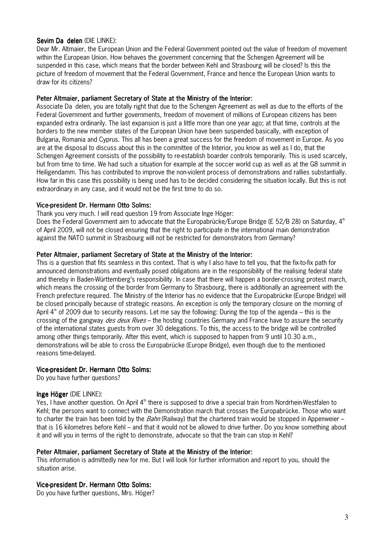#### Sevim Da delen (DIE LINKE):

Dear Mr. Altmaier, the European Union and the Federal Government pointed out the value of freedom of movement within the European Union. How behaves the government concerning that the Schengen Agreement will be suspended in this case, which means that the border between Kehl and Strasbourg will be closed? Is this the picture of freedom of movement that the Federal Government, France and hence the European Union wants to draw for its citizens?

#### Peter Altmaier, parliament Secretary of State at the Ministry of the Interior:

Associate Dağ delen, you are totally right that due to the Schengen Agreement as well as due to the efforts of the Federal Government and further governments, freedom of movement of millions of European citizens has been expanded extra ordinarily. The last expansion is just a little more than one year ago; at that time, controls at the borders to the new member states of the European Union have been suspended basically, with exception of Bulgaria, Romania and Cyprus. This all has been a great success for the freedom of movement in Europe. As you are at the disposal to discuss about this in the committee of the Interior, you know as well as I do, that the Schengen Agreement consists of the possibility to re-establish boarder controls temporarily. This is used scarcely, but from time to time. We had such a situation for example at the soccer world cup as well as at the G8 summit in Heiligendamm. This has contributed to improve the non-violent process of demonstrations and rallies substantially. How far in this case this possibility is being used has to be decided considering the situation locally. But this is not extraordinary in any case, and it would not be the first time to do so.

#### Vice-president Dr. Hermann Otto Solms:

Thank you very much. I will read question 19 from Associate Inge Höger:

Does the Federal Government aim to advocate that the Europabrücke/Europe Bridge (E 52/B 28) on Saturday,  $4<sup>th</sup>$ of April 2009, will not be closed ensuring that the right to participate in the international main demonstration against the NATO summit in Strasbourg will not be restricted for demonstrators from Germany?

### Peter Altmaier, parliament Secretary of State at the Ministry of the Interior:

This is a question that fits seamless in this context. That is why I also have to tell you, that the fix-to-fix path for announced demonstrations and eventually posed obligations are in the responsibility of the realising federal state and thereby in Baden-Württemberg's responsibility. In case that there will happen a border-crossing protest march, which means the crossing of the border from Germany to Strasbourg, there is additionally an agreement with the French prefecture required. The Ministry of the Interior has no evidence that the Europabrücke (Europe Bridge) will be closed principally because of strategic reasons. An exception is only the temporary closure on the morning of April  $4<sup>th</sup>$  of 2009 due to security reasons. Let me say the following: During the top of the agenda – this is the crossing of the gangway *des deux Rives* – the hosting countries Germany and France have to assure the security of the international states guests from over 30 delegations. To this, the access to the bridge will be controlled among other things temporarily. After this event, which is supposed to happen from 9 until 10.30 a.m., demonstrations will be able to cross the Europabrücke (Europe Bridge), even though due to the mentioned reasons time-delayed.

### Vice-president Dr. Hermann Otto Solms:

Do you have further questions?

### Inge Höger (DIF LINKE):

Yes, I have another question. On April 4<sup>th</sup> there is supposed to drive a special train from Nordrhein-Westfalen to Kehl; the persons want to connect with the Demonstration march that crosses the Europabrücke. Those who want to charter the train has been told by the Bahn (Railway) that the chartered train would be stopped in Appenweier – that is 16 kilometres before Kehl – and that it would not be allowed to drive further. Do you know something about it and will you in terms of the right to demonstrate, advocate so that the train can stop in Kehl?

### Peter Altmaier, parliament Secretary of State at the Ministry of the Interior:

This information is admittedly new for me. But I will look for further information and report to you, should the situation arise.

### Vice-president Dr. Hermann Otto Solms:

Do you have further questions, Mrs. Höger?